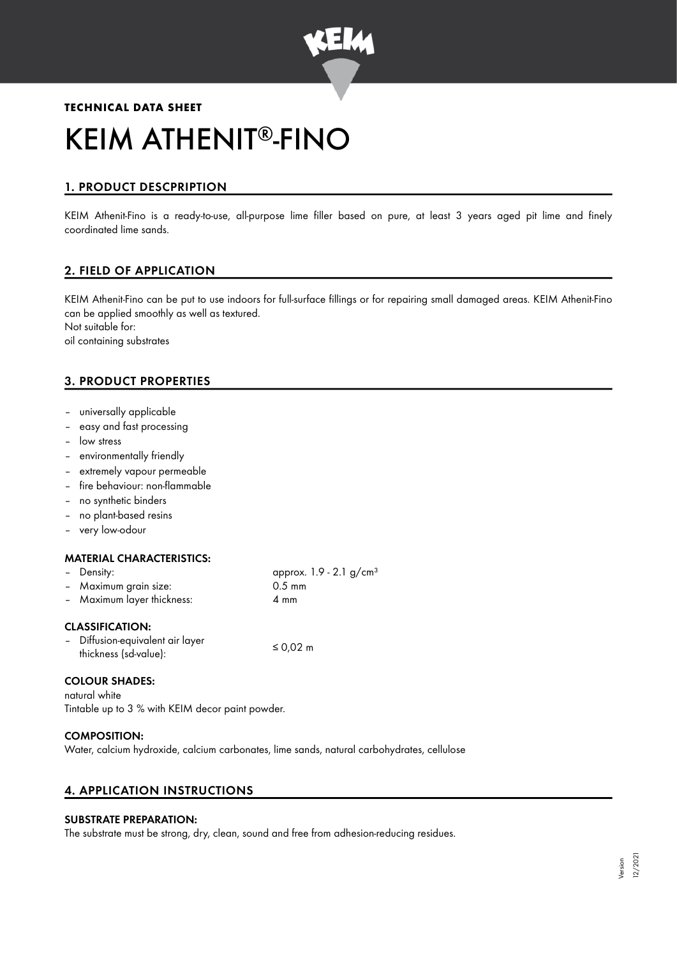

# **TECHNICAL DATA SHEET** KEIM ATHENIT®-FINO

# 1. PRODUCT DESCPRIPTION

KEIM Athenit-Fino is a ready-to-use, all-purpose lime filler based on pure, at least 3 years aged pit lime and finely coordinated lime sands.

## 2. FIELD OF APPLICATION

KEIM Athenit-Fino can be put to use indoors for full-surface fillings or for repairing small damaged areas. KEIM Athenit-Fino can be applied smoothly as well as textured. Not suitable for: oil containing substrates

# 3. PRODUCT PROPERTIES

- universally applicable
- easy and fast processing
- low stress
- environmentally friendly
- extremely vapour permeable
- fire behaviour: non-flammable
- no synthetic binders
- no plant-based resins
- very low-odour

#### MATERIAL CHARACTERISTICS:

| – Density:                 | approx. $1.9 - 2.1$ g/cm <sup>3</sup> |
|----------------------------|---------------------------------------|
| - Maximum grain size:      | $0.5 \text{ mm}$                      |
| - Maximum layer thickness: | 4 mm                                  |
|                            |                                       |

#### CLASSIFICATION:

| $\sim$ | Diffusion-equivalent air layer |          |
|--------|--------------------------------|----------|
|        | thickness (sd-value):          | ≤ 0,02 m |

#### COLOUR SHADES:

natural white Tintable up to 3 % with KEIM decor paint powder.

#### COMPOSITION:

Water, calcium hydroxide, calcium carbonates, lime sands, natural carbohydrates, cellulose

#### 4. APPLICATION INSTRUCTIONS

#### SUBSTRATE PREPARATION:

The substrate must be strong, dry, clean, sound and free from adhesion-reducing residues.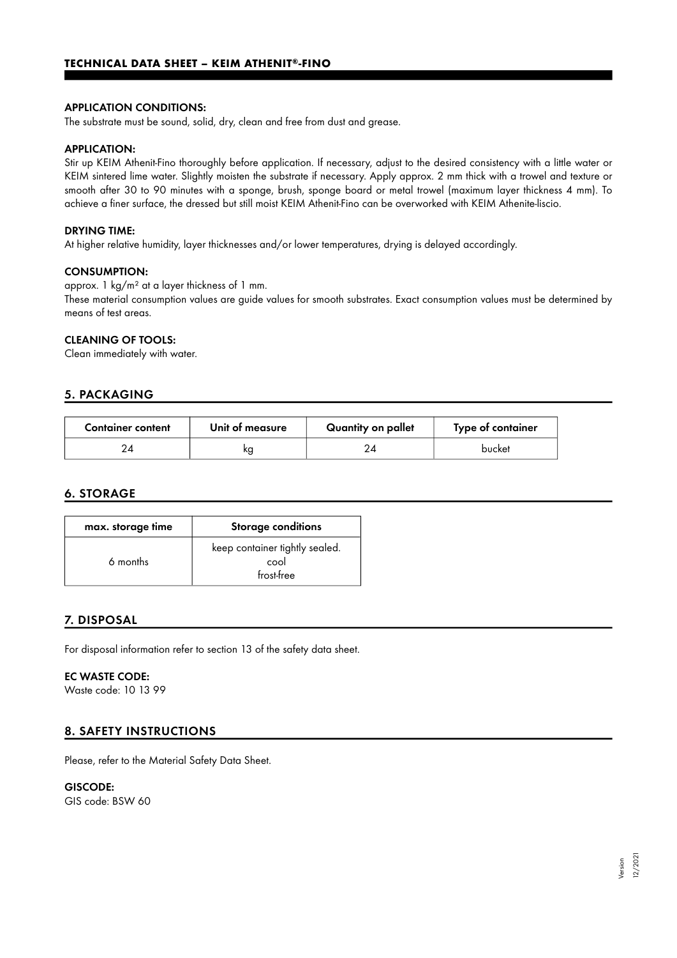#### APPLICATION CONDITIONS:

The substrate must be sound, solid, dry, clean and free from dust and grease.

#### APPLICATION:

Stir up KEIM Athenit-Fino thoroughly before application. If necessary, adjust to the desired consistency with a little water or KEIM sintered lime water. Slightly moisten the substrate if necessary. Apply approx. 2 mm thick with a trowel and texture or smooth after 30 to 90 minutes with a sponge, brush, sponge board or metal trowel (maximum layer thickness 4 mm). To achieve a finer surface, the dressed but still moist KEIM Athenit-Fino can be overworked with KEIM Athenite-liscio.

#### DRYING TIME:

At higher relative humidity, layer thicknesses and/or lower temperatures, drying is delayed accordingly.

#### CONSUMPTION:

approx. 1 kg/m² at a layer thickness of 1 mm.

These material consumption values are guide values for smooth substrates. Exact consumption values must be determined by means of test areas.

#### CLEANING OF TOOLS:

Clean immediately with water.

#### 5. PACKAGING

| <b>Container content</b> | Unit of measure | Quantity on pallet | Type of container |
|--------------------------|-----------------|--------------------|-------------------|
|                          | ĸс              |                    | bucket            |

#### 6. STORAGE

| max. storage time | <b>Storage conditions</b>                            |
|-------------------|------------------------------------------------------|
| 6 months          | keep container tightly sealed.<br>cool<br>frost-free |

### 7. DISPOSAL

For disposal information refer to section 13 of the safety data sheet.

#### EC WASTE CODE:

Waste code: 10 13 99

#### 8. SAFETY INSTRUCTIONS

Please, refer to the Material Safety Data Sheet.

# GISCODE:

GIS code: BSW 60